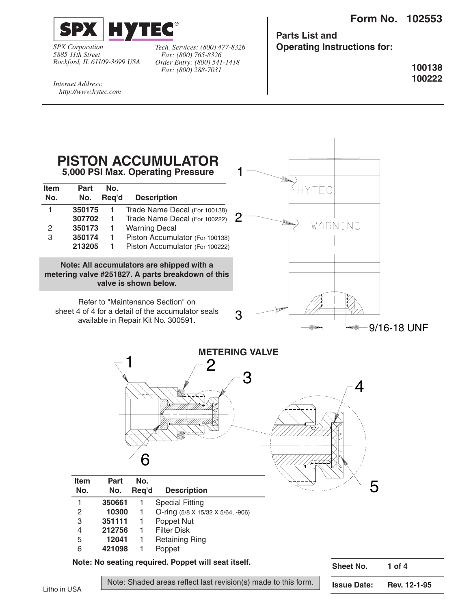**Form No. 102553**



*SPX Corporation 5885 11th Street Rockford, IL 61109-3699 USA*

*Fax: (800) 765-8326 Order Entry: (800) 541-1418 Fax: (800) 288-7031*

**Parts List and** *Tech. Services: (800) 477-8326* **Operating Instructions for:**

> **100138 100222**

*Internet Address: http://www.hytec.com*

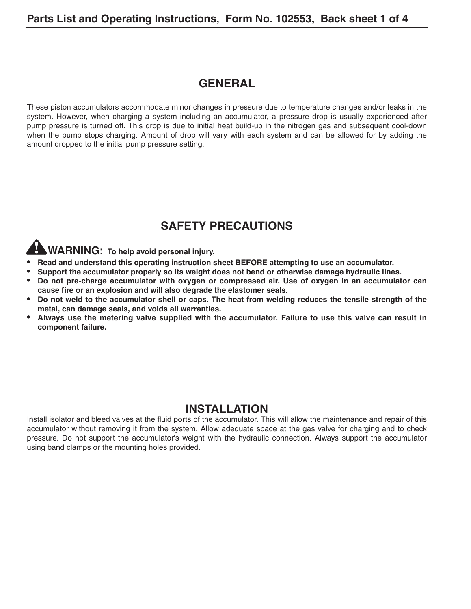# **GENERAL**

These piston accumulators accommodate minor changes in pressure due to temperature changes and/or leaks in the system. However, when charging a system including an accumulator, a pressure drop is usually experienced after pump pressure is turned off. This drop is due to initial heat build-up in the nitrogen gas and subsequent cool-down when the pump stops charging. Amount of drop will vary with each system and can be allowed for by adding the amount dropped to the initial pump pressure setting.

# **SAFETY PRECAUTIONS**

**WARNING: To help avoid personal injury,**

- **• Read and understand this operating instruction sheet BEFORE attempting to use an accumulator.**
- **• Support the accumulator properly so its weight does not bend or otherwise damage hydraulic lines.**
- **• Do not pre-charge accumulator with oxygen or compressed air. Use of oxygen in an accumulator can cause fire or an explosion and will also degrade the elastomer seals.**
- **• Do not weld to the accumulator shell or caps. The heat from welding reduces the tensile strength of the metal, can damage seals, and voids all warranties.**
- **• Always use the metering valve supplied with the accumulator. Failure to use this valve can result in component failure.**

## **INSTALLATION**

Install isolator and bleed valves at the fluid ports of the accumulator. This will allow the maintenance and repair of this accumulator without removing it from the system. Allow adequate space at the gas valve for charging and to check pressure. Do not support the accumulator's weight with the hydraulic connection. Always support the accumulator using band clamps or the mounting holes provided.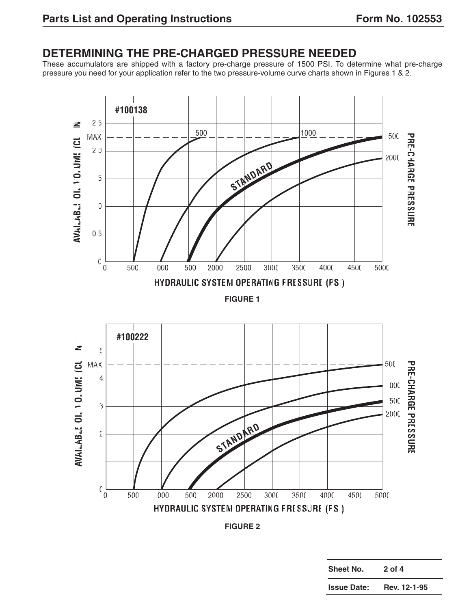# **DETERMINING THE PRE-CHARGED PRESSURE NEEDED**

These accumulators are shipped with a factory pre-charge pressure of 1500 PSI. To determine what pre-charge pressure you need for your application refer to the two pressure-volume curve charts shown in Figures 1 & 2.



**FIGURE 2**

| <b>Sheet No.</b>   | 2 of 4       |
|--------------------|--------------|
| <b>Issue Date:</b> | Rev. 12-1-95 |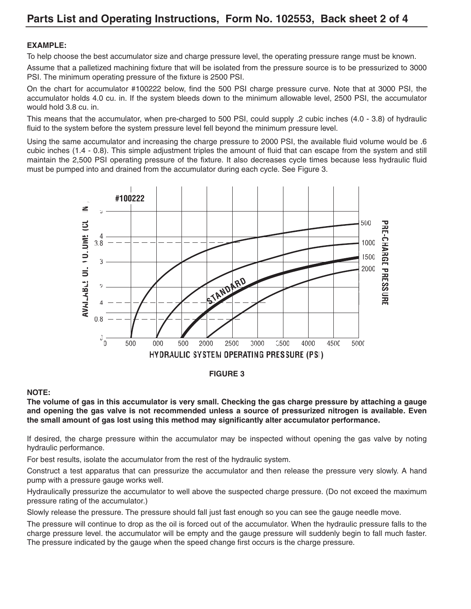#### **EXAMPLE:**

To help choose the best accumulator size and charge pressure level, the operating pressure range must be known.

Assume that a palletized machining fixture that will be isolated from the pressure source is to be pressurized to 3000 PSI. The minimum operating pressure of the fixture is 2500 PSI.

On the chart for accumulator #100222 below, find the 500 PSI charge pressure curve. Note that at 3000 PSI, the accumulator holds 4.0 cu. in. If the system bleeds down to the minimum allowable level, 2500 PSI, the accumulator would hold 3.8 cu. in.

This means that the accumulator, when pre-charged to 500 PSI, could supply .2 cubic inches (4.0 - 3.8) of hydraulic fluid to the system before the system pressure level fell beyond the minimum pressure level.

Using the same accumulator and increasing the charge pressure to 2000 PSI, the available fluid volume would be .6 cubic inches (1.4 - 0.8). This simple adjustment triples the amount of fluid that can escape from the system and still maintain the 2,500 PSI operating pressure of the fixture. It also decreases cycle times because less hydraulic fluid must be pumped into and drained from the accumulator during each cycle. See Figure 3.



#### **FIGURE 3**

#### **NOTE:**

**The volume of gas in this accumulator is very small. Checking the gas charge pressure by attaching a gauge and opening the gas valve is not recommended unless a source of pressurized nitrogen is available. Even the small amount of gas lost using this method may significantly alter accumulator performance.**

If desired, the charge pressure within the accumulator may be inspected without opening the gas valve by noting hydraulic performance.

For best results, isolate the accumulator from the rest of the hydraulic system.

Construct a test apparatus that can pressurize the accumulator and then release the pressure very slowly. A hand pump with a pressure gauge works well.

Hydraulically pressurize the accumulator to well above the suspected charge pressure. (Do not exceed the maximum pressure rating of the accumulator.)

Slowly release the pressure. The pressure should fall just fast enough so you can see the gauge needle move.

The pressure will continue to drop as the oil is forced out of the accumulator. When the hydraulic pressure falls to the charge pressure level. the accumulator will be empty and the gauge pressure will suddenly begin to fall much faster. The pressure indicated by the gauge when the speed change first occurs is the charge pressure.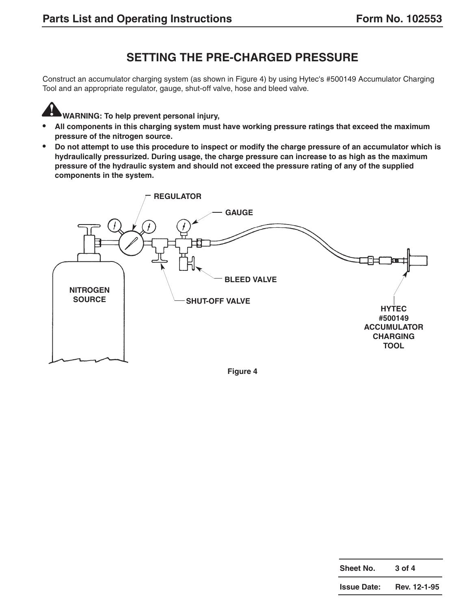# **SETTING THE PRE-CHARGED PRESSURE**

Construct an accumulator charging system (as shown in Figure 4) by using Hytec's #500149 Accumulator Charging Tool and an appropriate regulator, gauge, shut-off valve, hose and bleed valve.

**WARNING: To help prevent personal injury,**

- **• All components in this charging system must have working pressure ratings that exceed the maximum pressure of the nitrogen source.**
- **• Do not attempt to use this procedure to inspect or modify the charge pressure of an accumulator which is hydraulically pressurized. During usage, the charge pressure can increase to as high as the maximum pressure of the hydraulic system and should not exceed the pressure rating of any of the supplied components in the system.**



**Figure 4**

| Sheet No.          | $3$ of $4$   |
|--------------------|--------------|
| <b>Issue Date:</b> | Rev. 12-1-95 |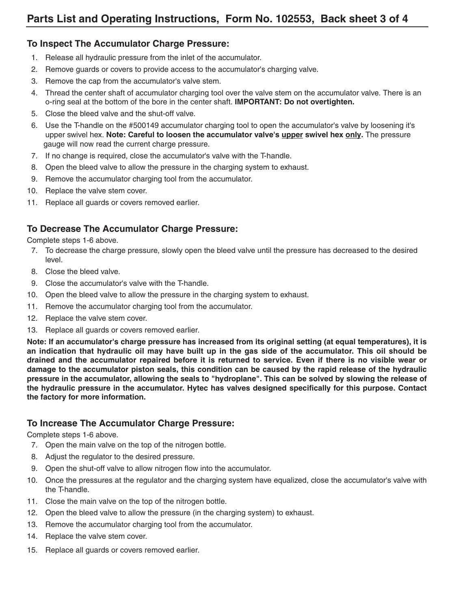### **To Inspect The Accumulator Charge Pressure:**

- 1. Release all hydraulic pressure from the inlet of the accumulator.
- 2. Remove guards or covers to provide access to the accumulator's charging valve.
- 3. Remove the cap from the accumulator's valve stem.
- 4. Thread the center shaft of accumulator charging tool over the valve stem on the accumulator valve. There is an o-ring seal at the bottom of the bore in the center shaft. **IMPORTANT: Do not overtighten.**
- 5. Close the bleed valve and the shut-off valve.
- 6. Use the T-handle on the #500149 accumulator charging tool to open the accumulator's valve by loosening it's upper swivel hex. **Note: Careful to loosen the accumulator valve's upper swivel hex only.** The pressure gauge will now read the current charge pressure.
- 7. If no change is required, close the accumulator's valve with the T-handle.
- 8. Open the bleed valve to allow the pressure in the charging system to exhaust.
- 9. Remove the accumulator charging tool from the accumulator.
- 10. Replace the valve stem cover.
- 11. Replace all guards or covers removed earlier.

### **To Decrease The Accumulator Charge Pressure:**

Complete steps 1-6 above.

- 7. To decrease the charge pressure, slowly open the bleed valve until the pressure has decreased to the desired level.
- 8. Close the bleed valve.
- 9. Close the accumulator's valve with the T-handle.
- 10. Open the bleed valve to allow the pressure in the charging system to exhaust.
- 11. Remove the accumulator charging tool from the accumulator.
- 12. Replace the valve stem cover.
- 13. Replace all guards or covers removed earlier.

**Note: If an accumulator's charge pressure has increased from its original setting (at equal temperatures), it is an indication that hydraulic oil may have built up in the gas side of the accumulator. This oil should be drained and the accumulator repaired before it is returned to service. Even if there is no visible wear or damage to the accumulator piston seals, this condition can be caused by the rapid release of the hydraulic pressure in the accumulator, allowing the seals to "hydroplane". This can be solved by slowing the release of the hydraulic pressure in the accumulator. Hytec has valves designed specifically for this purpose. Contact the factory for more information.**

### **To Increase The Accumulator Charge Pressure:**

Complete steps 1-6 above.

- 7. Open the main valve on the top of the nitrogen bottle.
- 8. Adjust the regulator to the desired pressure.
- 9. Open the shut-off valve to allow nitrogen flow into the accumulator.
- 10. Once the pressures at the regulator and the charging system have equalized, close the accumulator's valve with the T-handle.
- 11. Close the main valve on the top of the nitrogen bottle.
- 12. Open the bleed valve to allow the pressure (in the charging system) to exhaust.
- 13. Remove the accumulator charging tool from the accumulator.
- 14. Replace the valve stem cover.
- 15. Replace all guards or covers removed earlier.